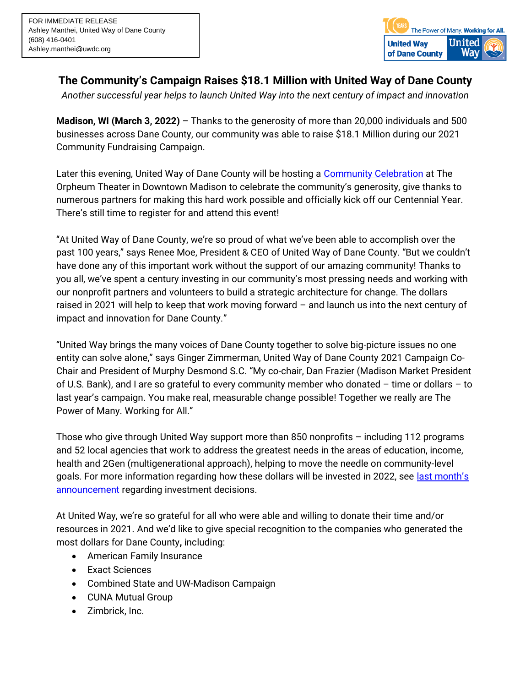

**The Community's Campaign Raises \$18.1 Million with United Way of Dane County** 

*Another successful year helps to launch United Way into the next century of impact and innovation*

**Madison, WI (March 3, 2022)** – Thanks to the generosity of more than 20,000 individuals and 500 businesses across Dane County, our community was able to raise \$18.1 Million during our 2021 Community Fundraising Campaign.

Later this evening, United Way of Dane County will be hosting a [Community Celebration](https://www.unitedwaydanecounty.org/100years/) at The Orpheum Theater in Downtown Madison to celebrate the community's generosity, give thanks to numerous partners for making this hard work possible and officially kick off our Centennial Year. There's still time to register for and attend this event!

"At United Way of Dane County, we're so proud of what we've been able to accomplish over the past 100 years," says Renee Moe, President & CEO of United Way of Dane County. "But we couldn't have done any of this important work without the support of our amazing community! Thanks to you all, we've spent a century investing in our community's most pressing needs and working with our nonprofit partners and volunteers to build a strategic architecture for change. The dollars raised in 2021 will help to keep that work moving forward – and launch us into the next century of impact and innovation for Dane County."

"United Way brings the many voices of Dane County together to solve big-picture issues no one entity can solve alone," says Ginger Zimmerman, United Way of Dane County 2021 Campaign Co-Chair and President of Murphy Desmond S.C. "My co-chair, Dan Frazier (Madison Market President of U.S. Bank), and I are so grateful to every community member who donated – time or dollars – to last year's campaign. You make real, measurable change possible! Together we really are The Power of Many. Working for All."

Those who give through United Way support more than 850 nonprofits – including 112 programs and 52 local agencies that work to address the greatest needs in the areas of education, income, health and 2Gen (multigenerational approach), helping to move the needle on community-level goals. For more information regarding how these dollars will be invested in 2022, see [last mont](https://www.unitedwaydanecounty.org/wp-content/uploads/PRESS-RELEASE_United-Way-2022-Investment-Decisions.pdf)h's [announcement](https://www.unitedwaydanecounty.org/wp-content/uploads/PRESS-RELEASE_United-Way-2022-Investment-Decisions.pdf) regarding investment decisions.

At United Way, we're so grateful for all who were able and willing to donate their time and/or resources in 2021. And we'd like to give special recognition to the companies who generated the most dollars for Dane County**,** including:

- American Family Insurance
- Exact Sciences
- Combined State and UW-Madison Campaign
- CUNA Mutual Group
- Zimbrick, Inc.